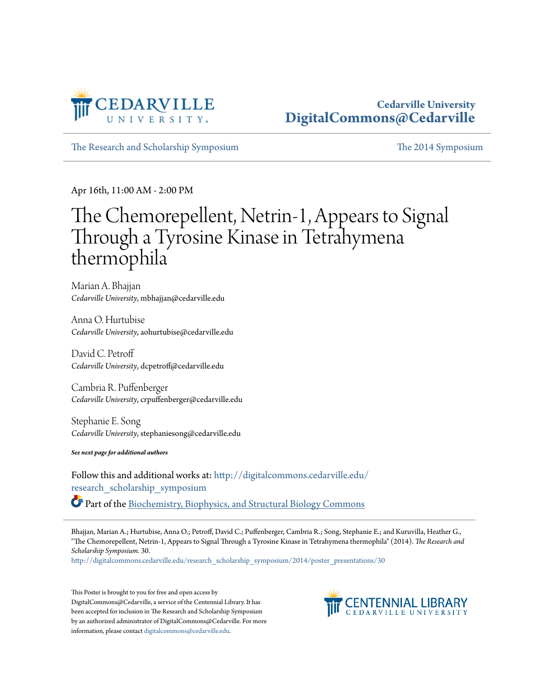

#### **Cedarville University [DigitalCommons@Cedarville](http://digitalcommons.cedarville.edu?utm_source=digitalcommons.cedarville.edu%2Fresearch_scholarship_symposium%2F2014%2Fposter_presentations%2F30&utm_medium=PDF&utm_campaign=PDFCoverPages)**

[The Research and Scholarship Symposium](http://digitalcommons.cedarville.edu/research_scholarship_symposium?utm_source=digitalcommons.cedarville.edu%2Fresearch_scholarship_symposium%2F2014%2Fposter_presentations%2F30&utm_medium=PDF&utm_campaign=PDFCoverPages) [The 2014 Symposium](http://digitalcommons.cedarville.edu/research_scholarship_symposium/2014?utm_source=digitalcommons.cedarville.edu%2Fresearch_scholarship_symposium%2F2014%2Fposter_presentations%2F30&utm_medium=PDF&utm_campaign=PDFCoverPages)

Apr 16th, 11:00 AM - 2:00 PM

#### The Chemorepellent, Netrin-1, Appears to Signal Through a Tyrosine Kinase in Tetrahymena thermophila

Marian A. Bhajjan *Cedarville University*, mbhajjan@cedarville.edu

Anna O. Hurtubise *Cedarville University*, aohurtubise@cedarville.edu

David C. Petroff *Cedarville University*, dcpetroff@cedarville.edu

Cambria R. Puffenberger *Cedarville University*, crpuffenberger@cedarville.edu

Stephanie E. Song *Cedarville University*, stephaniesong@cedarville.edu

*See next page for additional authors*

Follow this and additional works at: [http://digitalcommons.cedarville.edu/](http://digitalcommons.cedarville.edu/research_scholarship_symposium?utm_source=digitalcommons.cedarville.edu%2Fresearch_scholarship_symposium%2F2014%2Fposter_presentations%2F30&utm_medium=PDF&utm_campaign=PDFCoverPages) [research\\_scholarship\\_symposium](http://digitalcommons.cedarville.edu/research_scholarship_symposium?utm_source=digitalcommons.cedarville.edu%2Fresearch_scholarship_symposium%2F2014%2Fposter_presentations%2F30&utm_medium=PDF&utm_campaign=PDFCoverPages) Part of the [Biochemistry, Biophysics, and Structural Biology Commons](http://network.bepress.com/hgg/discipline/1?utm_source=digitalcommons.cedarville.edu%2Fresearch_scholarship_symposium%2F2014%2Fposter_presentations%2F30&utm_medium=PDF&utm_campaign=PDFCoverPages)

Bhajjan, Marian A.; Hurtubise, Anna O.; Petroff, David C.; Puffenberger, Cambria R.; Song, Stephanie E.; and Kuruvilla, Heather G., "The Chemorepellent, Netrin-1, Appears to Signal Through a Tyrosine Kinase in Tetrahymena thermophila" (2014). *The Research and Scholarship Symposium*. 30.

[http://digitalcommons.cedarville.edu/research\\_scholarship\\_symposium/2014/poster\\_presentations/30](http://digitalcommons.cedarville.edu/research_scholarship_symposium/2014/poster_presentations/30?utm_source=digitalcommons.cedarville.edu%2Fresearch_scholarship_symposium%2F2014%2Fposter_presentations%2F30&utm_medium=PDF&utm_campaign=PDFCoverPages)

This Poster is brought to you for free and open access by DigitalCommons@Cedarville, a service of the Centennial Library. It has been accepted for inclusion in The Research and Scholarship Symposium by an authorized administrator of DigitalCommons@Cedarville. For more information, please contact [digitalcommons@cedarville.edu.](mailto:digitalcommons@cedarville.edu)

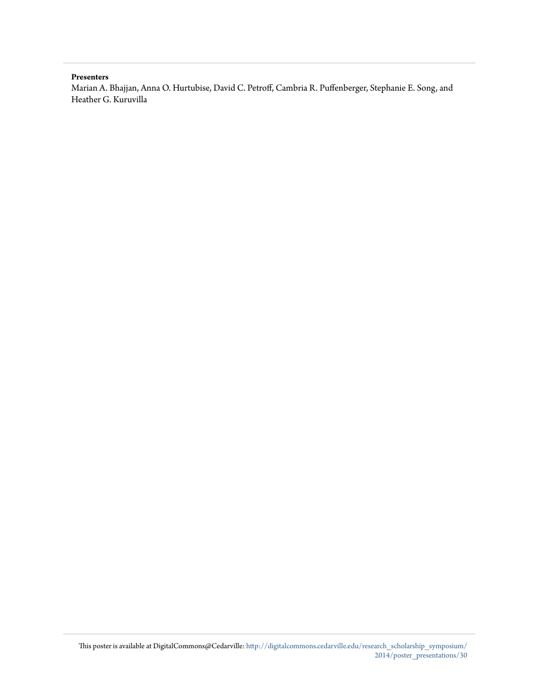#### **Presenters**

Marian A. Bhajjan, Anna O. Hurtubise, David C. Petroff, Cambria R. Puffenberger, Stephanie E. Song, and Heather G. Kuruvilla